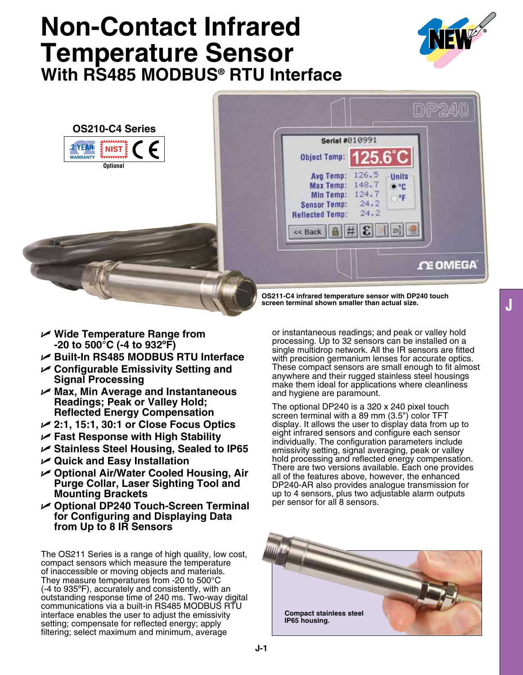# **Non-Contact Infrared Temperature Sensor**  With RS485 MODBUS<sup>®</sup> RTU Interface







**OS211-C4 infrared temperature sensor with DP240 touch screen terminal shown smaller than actual size.**

- U **Wide Temperature Range from -20 to 500°C (-4 to 932ºF)**
- U **Built-In RS485 Modbus RTU Interface**
- U **Configurable Emissivity Setting and Signal Processing**
- U **Max, Min Average and Instantaneous Readings; Peak or Valley Hold; Reflected Energy Compensation**
- U **2:1, 15:1, 30:1 or Close Focus Optics**
- U **Fast Response with High Stability**
- U **Stainless Steel Housing, Sealed to IP65**
- U **Quick and Easy Installation**
- U **Optional Air/Water Cooled Housing, Air Purge Collar, Laser Sighting Tool and Mounting Brackets**
- U **Optional DP240 Touch-Screen Terminal for Configuring and Displaying Data from Up to 8 IR Sensors**

The OS211 Series is a range of high quality, low cost, compact sensors which measure the temperature of inaccessible or moving objects and materials. They measure temperatures from -20 to 500°C (-4 to 935ºF), accurately and consistently, with an outstanding response time of 240 ms. Two-way digital communications via a built-in RS485 MODBUS RTU interface enables the user to adjust the emissivity setting; compensate for reflected energy; apply filtering; select maximum and minimum, average

or instantaneous readings; and peak or valley hold processing. Up to 32 sensors can be installed on a single multidrop network. All the IR sensors are fitted with precision germanium lenses for accurate optics. These compact sensors are small enough to fit almost anywhere and their rugged stainless steel housings make them ideal for applications where cleanliness and hygiene are paramount.

The optional DP240 is a 320 x 240 pixel touch screen terminal with a 89 mm (3.5") color TFT display. It allows the user to display data from up to eight infrared sensors and configure each sensor individually. The configuration parameters include emissivity setting, signal averaging, peak or valley hold processing and reflected energy compensation. There are two versions available. Each one provides all of the features above, however, the enhanced DP240-AR also provides analogue transmission for up to 4 sensors, plus two adjustable alarm outputs per sensor for all 8 sensors.

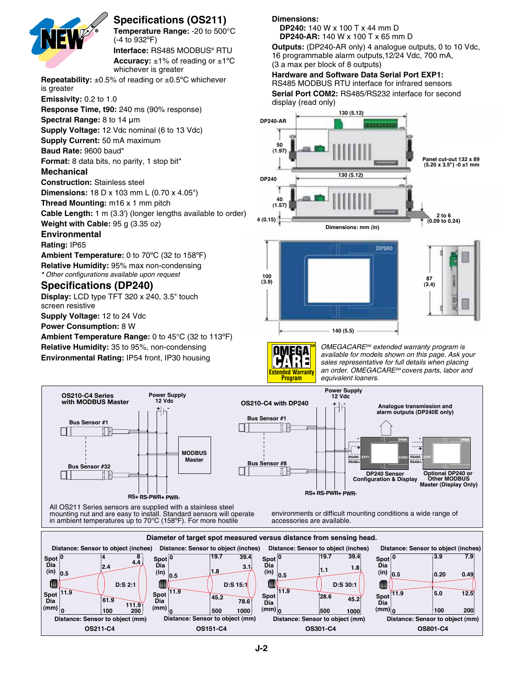

**Specifications (OS211)** 

**Temperature Range:** -20 to 500°C **50 (1.97) 50 (1.97)** (-4 to 932ºF) Interface: RS485 MODBUS® RTU

**Accuracy:**  $\pm$ 1% of reading or  $\pm$ 1°C whichever is greater

**Repeatability:** ±0.5% of reading or ±0.5ºC whichever **40 40** is greater

**Emissivity:** 0.2 to 1.0

**Response Time, t90:** 240 ms (90% response)

**Spectral Range:** 8 to 14 μm

**Supply Voltage:** 12 Vdc nominal (6 to 13 Vdc)

**Supply Current:** 50 mA maximum

**Baud Rate:** 9600 baud\*

**Format:** 8 data bits, no parity, 1 stop bit\*<br>**10 100**

## **Mechanical**

**Construction:** Stainless steel

**Dimensions:** 18 D x 103 mm L (0.70 x 4.05")

**Thread Mounting:** m16 x 1 mm pitch

**Cable Length:** 1 m (3.3') (longer lengths available to order)

**Weight with Cable:** 95 g (3.35 oz)

# **Environmental**

**Rating:** ip65

**Ambient Temperature:** 0 to 70ºC (32 to 158ºF) **Relative Humidity:** 95% max non-condensing *\* Other configurations available upon request*

# **Specifications (DP240)**

**Display:** LCD type TFT 320 x 240, 3.5" touch screen resistive

**Supply Voltage:** 12 to 24 Vdc

**Power Consumption:** 8 W

**Ambient Temperature Range:** 0 to 45°C (32 to 113ºF) **Relative Humidity:** 35 to 95%, non-condensing **Environmental Rating: IP54 front, IP30 housing** 

**111.9**

**100 200**

**0**

**(mm)**

**0**

**(mm)**

**Dimensions:**

 **DP240:** 140 W x 100 T x 44 mm D **DP240-AR:** 140 W x 100 T x 65 mm D

**Outputs:** (DP240-AR only) 4 analogue outputs, 0 to 10 Vdc, 16 programmable alarm outputs,12/24 Vdc, 700 mA, (3 a max per block of 8 outputs)

**Hardware and Software Data Serial Port EXP1:**

RS485 MODBUS RTU interface for infrared sensors

**Serial Port COM2: RS485/RS232 interface for second 2014:10:000.000.000.00** 



**Extended Warranty Program**

**SM** *OMEGACARESM extended warranty program is available for models shown on this page. Ask your sales representative for full details when placing an order. OMEGACARESM covers parts, labor and equivalent loaners.*



**Dia**

**100**

**200**

**0 (mm)**

**500 1000**